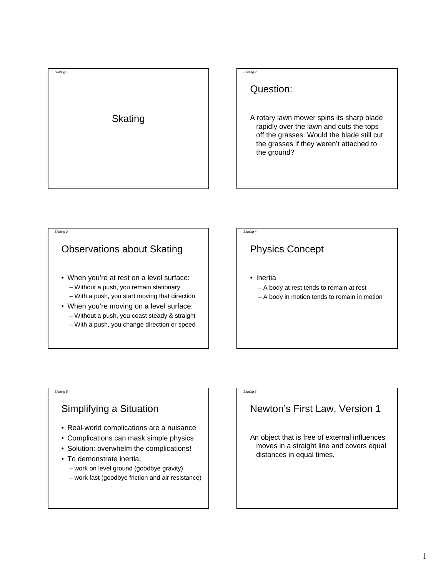

#### *Skating 2*

#### Question:

A rotary lawn mower spins its sharp blade rapidly over the lawn and cuts the tops off the grasses. Would the blade still cut the grasses if they weren't attached to the ground?

# Observations about Skating

*Skating 3*

*Skating 5*

- When you're at rest on a level surface: – Without a push, you remain stationary
	- With a push, you start moving that direction
- When you're moving on a level surface: – Without a push, you coast steady & straight – With a push, you change direction or speed

#### *Skating 4*

*Skating 6*

### Physics Concept

- Inertia
	- A body at rest tends to remain at rest
	- A body in motion tends to remain in motion

### Simplifying a Situation

- Real-world complications are a nuisance
- Complications can mask simple physics
- Solution: overwhelm the complications!
- To demonstrate inertia:
	- work on level ground (goodbye gravity)
	- work fast (goodbye friction and air resistance)

# Newton's First Law, Version 1

An object that is free of external influences moves in a straight line and covers equal distances in equal times.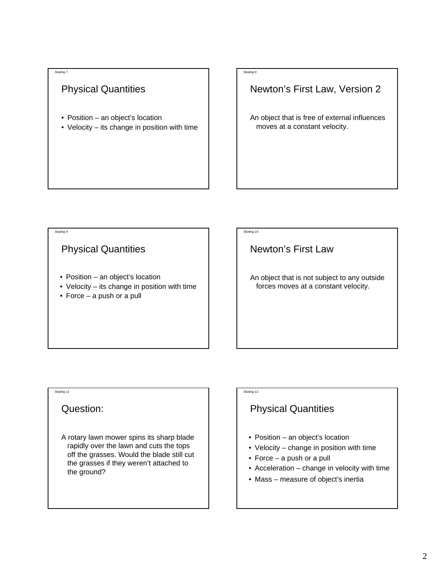#### *Skating 7*

### Physical Quantities

- Position an object's location
- Velocity its change in position with time

#### *Skating 8*

#### Newton's First Law, Version 2

An object that is free of external influences moves at a constant velocity.

#### *Skating 9*

#### Physical Quantities

- Position an object's location
- Velocity its change in position with time
- Force a push or a pull

#### *Skating 10*

Newton's First Law

An object that is not subject to any outside forces moves at a constant velocity.

#### *Skating 11*

#### Question:

A rotary lawn mower spins its sharp blade rapidly over the lawn and cuts the tops off the grasses. Would the blade still cut the grasses if they weren't attached to the ground?

# *Skating 12*

### Physical Quantities

- Position an object's location
- Velocity change in position with time
- Force a push or a pull
- Acceleration change in velocity with time
- Mass measure of object's inertia